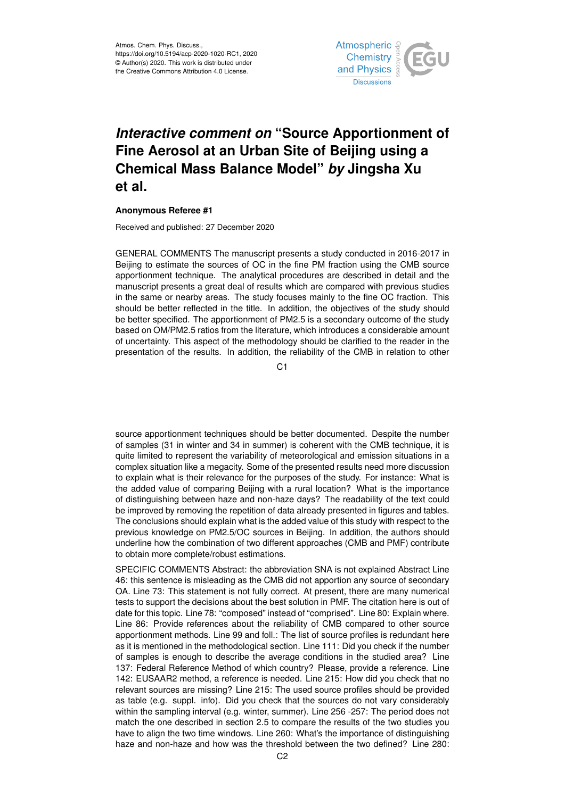

## *Interactive comment on* **"Source Apportionment of Fine Aerosol at an Urban Site of Beijing using a Chemical Mass Balance Model"** *by* **Jingsha Xu et al.**

## **Anonymous Referee #1**

Received and published: 27 December 2020

GENERAL COMMENTS The manuscript presents a study conducted in 2016-2017 in Beijing to estimate the sources of OC in the fine PM fraction using the CMB source apportionment technique. The analytical procedures are described in detail and the manuscript presents a great deal of results which are compared with previous studies in the same or nearby areas. The study focuses mainly to the fine OC fraction. This should be better reflected in the title. In addition, the objectives of the study should be better specified. The apportionment of PM2.5 is a secondary outcome of the study based on OM/PM2.5 ratios from the literature, which introduces a considerable amount of uncertainty. This aspect of the methodology should be clarified to the reader in the presentation of the results. In addition, the reliability of the CMB in relation to other

 $C<sub>1</sub>$ 

source apportionment techniques should be better documented. Despite the number of samples (31 in winter and 34 in summer) is coherent with the CMB technique, it is quite limited to represent the variability of meteorological and emission situations in a complex situation like a megacity. Some of the presented results need more discussion to explain what is their relevance for the purposes of the study. For instance: What is the added value of comparing Beijing with a rural location? What is the importance of distinguishing between haze and non-haze days? The readability of the text could be improved by removing the repetition of data already presented in figures and tables. The conclusions should explain what is the added value of this study with respect to the previous knowledge on PM2.5/OC sources in Beijing. In addition, the authors should underline how the combination of two different approaches (CMB and PMF) contribute to obtain more complete/robust estimations.

SPECIFIC COMMENTS Abstract: the abbreviation SNA is not explained Abstract Line 46: this sentence is misleading as the CMB did not apportion any source of secondary OA. Line 73: This statement is not fully correct. At present, there are many numerical tests to support the decisions about the best solution in PMF. The citation here is out of date for this topic. Line 78: "composed" instead of "comprised". Line 80: Explain where. Line 86: Provide references about the reliability of CMB compared to other source apportionment methods. Line 99 and foll.: The list of source profiles is redundant here as it is mentioned in the methodological section. Line 111: Did you check if the number of samples is enough to describe the average conditions in the studied area? Line 137: Federal Reference Method of which country? Please, provide a reference. Line 142: EUSAAR2 method, a reference is needed. Line 215: How did you check that no relevant sources are missing? Line 215: The used source profiles should be provided as table (e.g. suppl. info). Did you check that the sources do not vary considerably within the sampling interval (e.g. winter, summer). Line 256 -257: The period does not match the one described in section 2.5 to compare the results of the two studies you have to align the two time windows. Line 260: What's the importance of distinguishing haze and non-haze and how was the threshold between the two defined? Line 280: